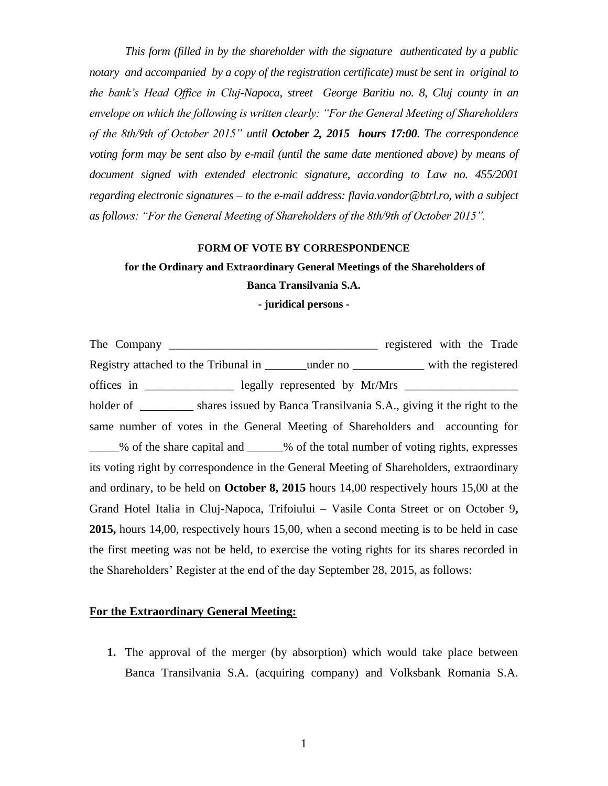*This form (filled in by the shareholder with the signature authenticated by a public notary and accompanied by a copy of the registration certificate) must be sent in original to the bank's Head Office in Cluj-Napoca, street George Baritiu no. 8, Cluj county in an envelope on which the following is written clearly: "For the General Meeting of Shareholders of the 8th/9th of October 2015" until October 2, 2015 hours 17:00. The correspondence voting form may be sent also by e-mail (until the same date mentioned above) by means of document signed with extended electronic signature, according to Law no. 455/2001 regarding electronic signatures – to the e-mail address: [flavia.vandor@btrl.ro,](mailto:flavia.vandor@btrl.ro) with a subject as follows: "For the General Meeting of Shareholders of the 8th/9th of October 2015".*

## **FORM OF VOTE BY CORRESPONDENCE**

## **for the Ordinary and Extraordinary General Meetings of the Shareholders of Banca Transilvania S.A.**

**- juridical persons -**

The Company registered with the Trade Registry attached to the Tribunal in \_\_\_\_\_\_\_under no \_\_\_\_\_\_\_\_\_\_\_\_ with the registered offices in \_\_\_\_\_\_\_\_\_\_\_\_\_\_\_\_ legally represented by Mr/Mrs \_\_\_\_\_\_\_\_\_\_\_\_\_\_\_\_\_\_\_\_\_\_ holder of shares issued by Banca Transilvania S.A., giving it the right to the same number of votes in the General Meeting of Shareholders and accounting for \_\_\_\_\_% of the share capital and \_\_\_\_\_\_% of the total number of voting rights, expresses its voting right by correspondence in the General Meeting of Shareholders, extraordinary and ordinary, to be held on **October 8, 2015** hours 14,00 respectively hours 15,00 at the Grand Hotel Italia in Cluj-Napoca, Trifoiului – Vasile Conta Street or on October 9**, 2015,** hours 14,00, respectively hours 15,00, when a second meeting is to be held in case the first meeting was not be held, to exercise the voting rights for its shares recorded in the Shareholders' Register at the end of the day September 28, 2015, as follows:

## **For the Extraordinary General Meeting:**

**1.** The approval of the merger (by absorption) which would take place between Banca Transilvania S.A. (acquiring company) and Volksbank Romania S.A.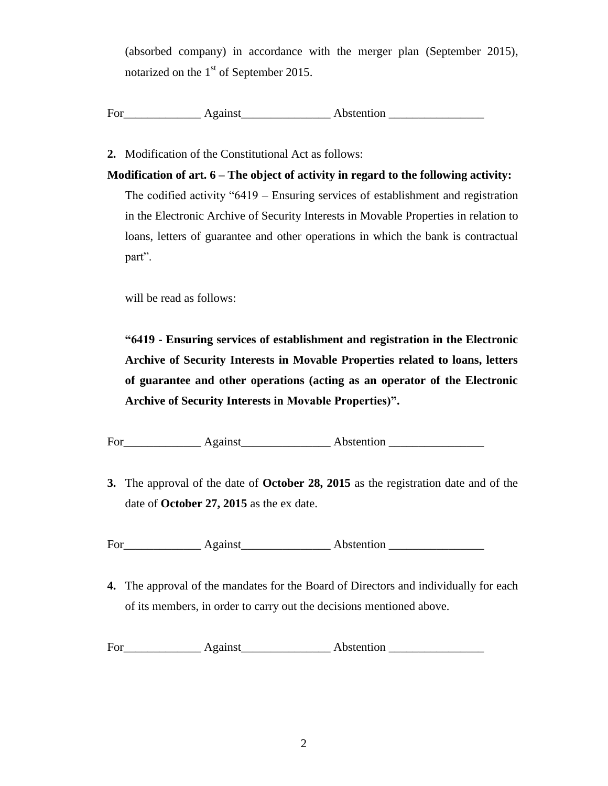(absorbed company) in accordance with the merger plan (September 2015), notarized on the  $1<sup>st</sup>$  of September 2015.

For Against Against Against Abstention Abstention Abstention Abstention Abstention Apple 1, 1981

**2.** Modification of the Constitutional Act as follows:

**Modification of art. 6 – The object of activity in regard to the following activity:**

The codified activity "6419 – Ensuring services of establishment and registration in the Electronic Archive of Security Interests in Movable Properties in relation to loans, letters of guarantee and other operations in which the bank is contractual part".

will be read as follows:

**"6419 - Ensuring services of establishment and registration in the Electronic Archive of Security Interests in Movable Properties related to loans, letters of guarantee and other operations (acting as an operator of the Electronic Archive of Security Interests in Movable Properties)".**

For Against Against Abstention Abstention Abstention Abstention Abstention Abstention Abstention Abstention Abstention Abstention Abstention Abstention Abstention Abstention Abstention Abstention Abstention Abstention Abst

**3.** The approval of the date of **October 28, 2015** as the registration date and of the date of **October 27, 2015** as the ex date.

For\_\_\_\_\_\_\_\_\_\_\_\_\_ Against\_\_\_\_\_\_\_\_\_\_\_\_\_\_\_ Abstention \_\_\_\_\_\_\_\_\_\_\_\_\_\_\_\_

**4.** The approval of the mandates for the Board of Directors and individually for each of its members, in order to carry out the decisions mentioned above.

For Against Assembly Abstention